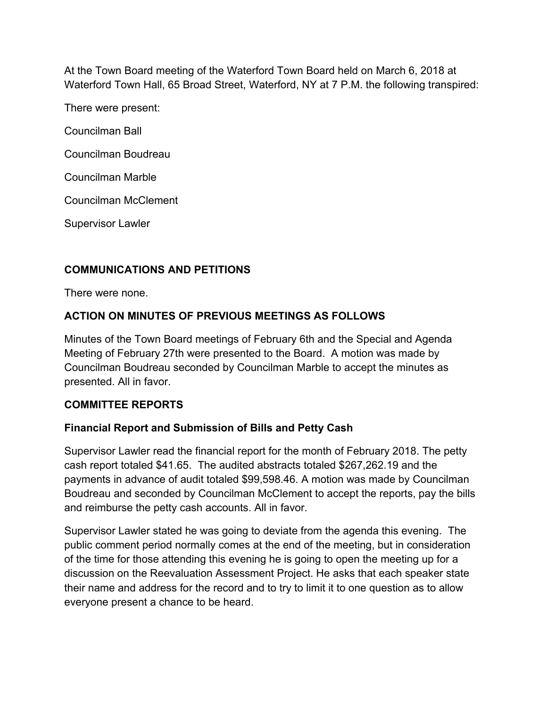At the Town Board meeting of the Waterford Town Board held on March 6, 2018 at Waterford Town Hall, 65 Broad Street, Waterford, NY at 7 P.M. the following transpired:

There were present:

Councilman Ball

Councilman Boudreau

Councilman Marble

Councilman McClement

Supervisor Lawler

# **COMMUNICATIONS AND PETITIONS**

There were none.

# **ACTION ON MINUTES OF PREVIOUS MEETINGS AS FOLLOWS**

Minutes of the Town Board meetings of February 6th and the Special and Agenda Meeting of February 27th were presented to the Board. A motion was made by Councilman Boudreau seconded by Councilman Marble to accept the minutes as presented. All in favor.

# **COMMITTEE REPORTS**

# **Financial Report and Submission of Bills and Petty Cash**

Supervisor Lawler read the financial report for the month of February 2018. The petty cash report totaled \$41.65. The audited abstracts totaled \$267,262.19 and the payments in advance of audit totaled \$99,598.46. A motion was made by Councilman Boudreau and seconded by Councilman McClement to accept the reports, pay the bills and reimburse the petty cash accounts. All in favor.

Supervisor Lawler stated he was going to deviate from the agenda this evening. The public comment period normally comes at the end of the meeting, but in consideration of the time for those attending this evening he is going to open the meeting up for a discussion on the Reevaluation Assessment Project. He asks that each speaker state their name and address for the record and to try to limit it to one question as to allow everyone present a chance to be heard.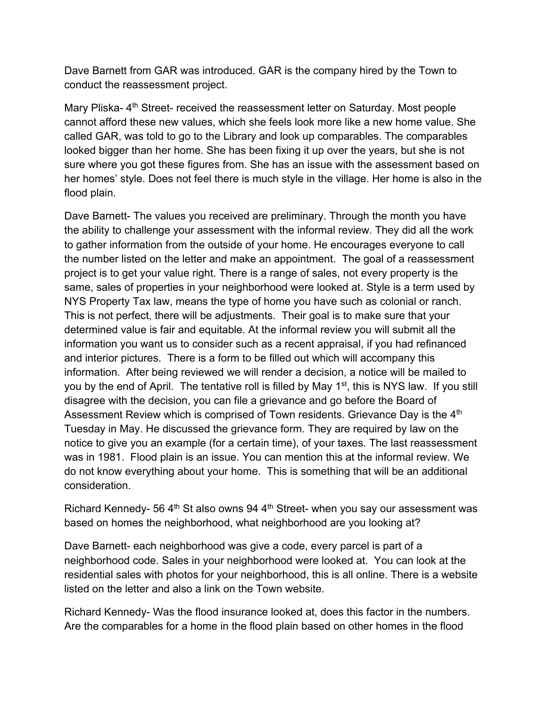Dave Barnett from GAR was introduced. GAR is the company hired by the Town to conduct the reassessment project.

Mary Pliska- 4<sup>th</sup> Street- received the reassessment letter on Saturday. Most people cannot afford these new values, which she feels look more like a new home value. She called GAR, was told to go to the Library and look up comparables. The comparables looked bigger than her home. She has been fixing it up over the years, but she is not sure where you got these figures from. She has an issue with the assessment based on her homes' style. Does not feel there is much style in the village. Her home is also in the flood plain.

Dave Barnett- The values you received are preliminary. Through the month you have the ability to challenge your assessment with the informal review. They did all the work to gather information from the outside of your home. He encourages everyone to call the number listed on the letter and make an appointment. The goal of a reassessment project is to get your value right. There is a range of sales, not every property is the same, sales of properties in your neighborhood were looked at. Style is a term used by NYS Property Tax law, means the type of home you have such as colonial or ranch. This is not perfect, there will be adjustments. Their goal is to make sure that your determined value is fair and equitable. At the informal review you will submit all the information you want us to consider such as a recent appraisal, if you had refinanced and interior pictures. There is a form to be filled out which will accompany this information. After being reviewed we will render a decision, a notice will be mailed to you by the end of April. The tentative roll is filled by May  $1<sup>st</sup>$ , this is NYS law. If you still disagree with the decision, you can file a grievance and go before the Board of Assessment Review which is comprised of Town residents. Grievance Day is the 4<sup>th</sup> Tuesday in May. He discussed the grievance form. They are required by law on the notice to give you an example (for a certain time), of your taxes. The last reassessment was in 1981. Flood plain is an issue. You can mention this at the informal review. We do not know everything about your home. This is something that will be an additional consideration.

Richard Kennedy- 56  $4<sup>th</sup>$  St also owns 94  $4<sup>th</sup>$  Street- when you say our assessment was based on homes the neighborhood, what neighborhood are you looking at?

Dave Barnett- each neighborhood was give a code, every parcel is part of a neighborhood code. Sales in your neighborhood were looked at. You can look at the residential sales with photos for your neighborhood, this is all online. There is a website listed on the letter and also a link on the Town website.

Richard Kennedy- Was the flood insurance looked at, does this factor in the numbers. Are the comparables for a home in the flood plain based on other homes in the flood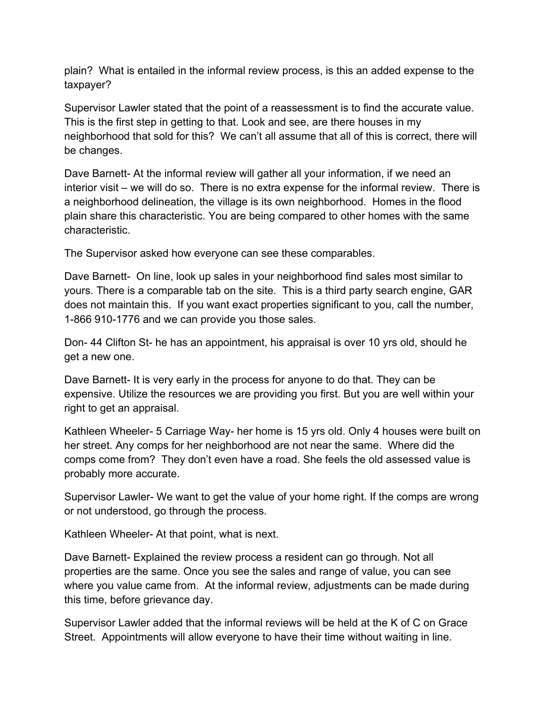plain? What is entailed in the informal review process, is this an added expense to the taxpayer?

Supervisor Lawler stated that the point of a reassessment is to find the accurate value. This is the first step in getting to that. Look and see, are there houses in my neighborhood that sold for this? We can't all assume that all of this is correct, there will be changes.

Dave Barnett- At the informal review will gather all your information, if we need an interior visit – we will do so. There is no extra expense for the informal review. There is a neighborhood delineation, the village is its own neighborhood. Homes in the flood plain share this characteristic. You are being compared to other homes with the same characteristic.

The Supervisor asked how everyone can see these comparables.

Dave Barnett- On line, look up sales in your neighborhood find sales most similar to yours. There is a comparable tab on the site. This is a third party search engine, GAR does not maintain this. If you want exact properties significant to you, call the number, 1-866 910-1776 and we can provide you those sales.

Don- 44 Clifton St- he has an appointment, his appraisal is over 10 yrs old, should he get a new one.

Dave Barnett- It is very early in the process for anyone to do that. They can be expensive. Utilize the resources we are providing you first. But you are well within your right to get an appraisal.

Kathleen Wheeler- 5 Carriage Way- her home is 15 yrs old. Only 4 houses were built on her street. Any comps for her neighborhood are not near the same. Where did the comps come from? They don't even have a road. She feels the old assessed value is probably more accurate.

Supervisor Lawler- We want to get the value of your home right. If the comps are wrong or not understood, go through the process.

Kathleen Wheeler- At that point, what is next.

Dave Barnett- Explained the review process a resident can go through. Not all properties are the same. Once you see the sales and range of value, you can see where you value came from. At the informal review, adjustments can be made during this time, before grievance day.

Supervisor Lawler added that the informal reviews will be held at the K of C on Grace Street. Appointments will allow everyone to have their time without waiting in line.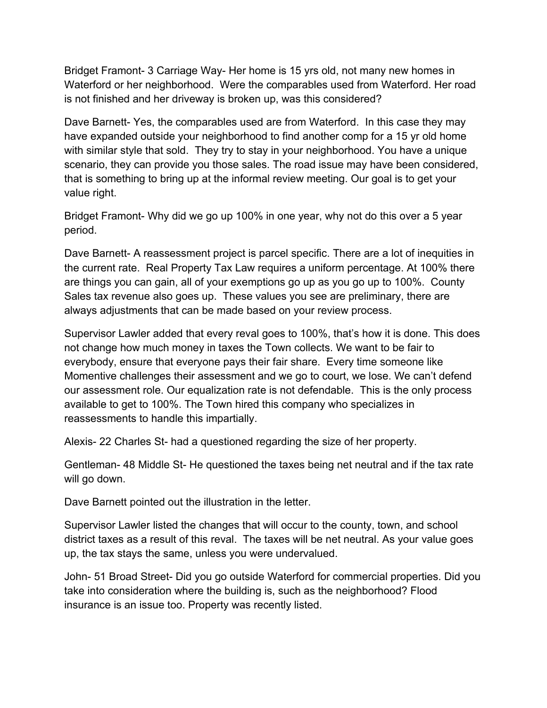Bridget Framont- 3 Carriage Way- Her home is 15 yrs old, not many new homes in Waterford or her neighborhood. Were the comparables used from Waterford. Her road is not finished and her driveway is broken up, was this considered?

Dave Barnett- Yes, the comparables used are from Waterford. In this case they may have expanded outside your neighborhood to find another comp for a 15 yr old home with similar style that sold. They try to stay in your neighborhood. You have a unique scenario, they can provide you those sales. The road issue may have been considered, that is something to bring up at the informal review meeting. Our goal is to get your value right.

Bridget Framont- Why did we go up 100% in one year, why not do this over a 5 year period.

Dave Barnett- A reassessment project is parcel specific. There are a lot of inequities in the current rate. Real Property Tax Law requires a uniform percentage. At 100% there are things you can gain, all of your exemptions go up as you go up to 100%. County Sales tax revenue also goes up. These values you see are preliminary, there are always adjustments that can be made based on your review process.

Supervisor Lawler added that every reval goes to 100%, that's how it is done. This does not change how much money in taxes the Town collects. We want to be fair to everybody, ensure that everyone pays their fair share. Every time someone like Momentive challenges their assessment and we go to court, we lose. We can't defend our assessment role. Our equalization rate is not defendable. This is the only process available to get to 100%. The Town hired this company who specializes in reassessments to handle this impartially.

Alexis- 22 Charles St- had a questioned regarding the size of her property.

Gentleman- 48 Middle St- He questioned the taxes being net neutral and if the tax rate will go down.

Dave Barnett pointed out the illustration in the letter.

Supervisor Lawler listed the changes that will occur to the county, town, and school district taxes as a result of this reval. The taxes will be net neutral. As your value goes up, the tax stays the same, unless you were undervalued.

John- 51 Broad Street- Did you go outside Waterford for commercial properties. Did you take into consideration where the building is, such as the neighborhood? Flood insurance is an issue too. Property was recently listed.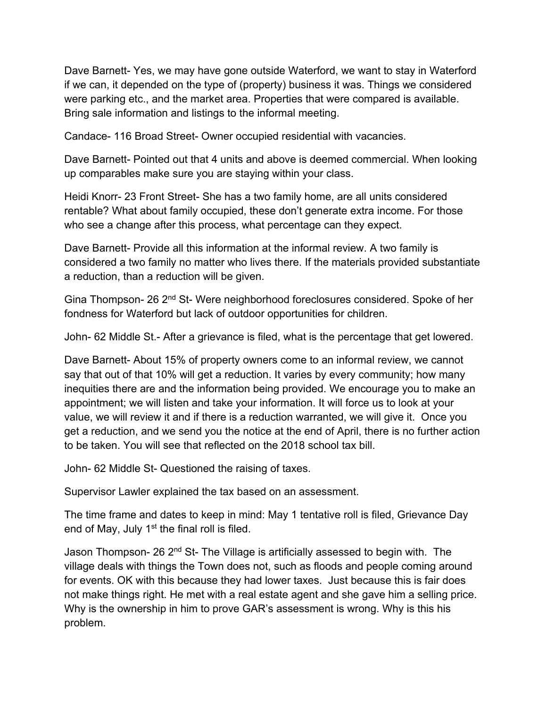Dave Barnett- Yes, we may have gone outside Waterford, we want to stay in Waterford if we can, it depended on the type of (property) business it was. Things we considered were parking etc., and the market area. Properties that were compared is available. Bring sale information and listings to the informal meeting.

Candace- 116 Broad Street- Owner occupied residential with vacancies.

Dave Barnett- Pointed out that 4 units and above is deemed commercial. When looking up comparables make sure you are staying within your class.

Heidi Knorr- 23 Front Street- She has a two family home, are all units considered rentable? What about family occupied, these don't generate extra income. For those who see a change after this process, what percentage can they expect.

Dave Barnett- Provide all this information at the informal review. A two family is considered a two family no matter who lives there. If the materials provided substantiate a reduction, than a reduction will be given.

Gina Thompson- 26 2nd St- Were neighborhood foreclosures considered. Spoke of her fondness for Waterford but lack of outdoor opportunities for children.

John- 62 Middle St.- After a grievance is filed, what is the percentage that get lowered.

Dave Barnett- About 15% of property owners come to an informal review, we cannot say that out of that 10% will get a reduction. It varies by every community; how many inequities there are and the information being provided. We encourage you to make an appointment; we will listen and take your information. It will force us to look at your value, we will review it and if there is a reduction warranted, we will give it. Once you get a reduction, and we send you the notice at the end of April, there is no further action to be taken. You will see that reflected on the 2018 school tax bill.

John- 62 Middle St- Questioned the raising of taxes.

Supervisor Lawler explained the tax based on an assessment.

The time frame and dates to keep in mind: May 1 tentative roll is filed, Grievance Day end of May, July 1<sup>st</sup> the final roll is filed.

Jason Thompson- 26 2<sup>nd</sup> St- The Village is artificially assessed to begin with. The village deals with things the Town does not, such as floods and people coming around for events. OK with this because they had lower taxes. Just because this is fair does not make things right. He met with a real estate agent and she gave him a selling price. Why is the ownership in him to prove GAR's assessment is wrong. Why is this his problem.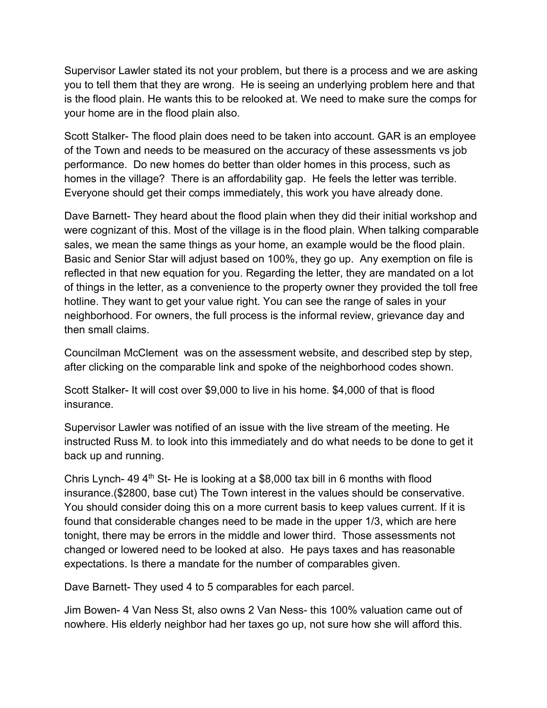Supervisor Lawler stated its not your problem, but there is a process and we are asking you to tell them that they are wrong. He is seeing an underlying problem here and that is the flood plain. He wants this to be relooked at. We need to make sure the comps for your home are in the flood plain also.

Scott Stalker- The flood plain does need to be taken into account. GAR is an employee of the Town and needs to be measured on the accuracy of these assessments vs job performance. Do new homes do better than older homes in this process, such as homes in the village? There is an affordability gap. He feels the letter was terrible. Everyone should get their comps immediately, this work you have already done.

Dave Barnett- They heard about the flood plain when they did their initial workshop and were cognizant of this. Most of the village is in the flood plain. When talking comparable sales, we mean the same things as your home, an example would be the flood plain. Basic and Senior Star will adjust based on 100%, they go up. Any exemption on file is reflected in that new equation for you. Regarding the letter, they are mandated on a lot of things in the letter, as a convenience to the property owner they provided the toll free hotline. They want to get your value right. You can see the range of sales in your neighborhood. For owners, the full process is the informal review, grievance day and then small claims.

Councilman McClement was on the assessment website, and described step by step, after clicking on the comparable link and spoke of the neighborhood codes shown.

Scott Stalker- It will cost over \$9,000 to live in his home. \$4,000 of that is flood insurance.

Supervisor Lawler was notified of an issue with the live stream of the meeting. He instructed Russ M. to look into this immediately and do what needs to be done to get it back up and running.

Chris Lynch- 49  $4<sup>th</sup>$  St- He is looking at a \$8,000 tax bill in 6 months with flood insurance.(\$2800, base cut) The Town interest in the values should be conservative. You should consider doing this on a more current basis to keep values current. If it is found that considerable changes need to be made in the upper 1/3, which are here tonight, there may be errors in the middle and lower third. Those assessments not changed or lowered need to be looked at also. He pays taxes and has reasonable expectations. Is there a mandate for the number of comparables given.

Dave Barnett- They used 4 to 5 comparables for each parcel.

Jim Bowen- 4 Van Ness St, also owns 2 Van Ness- this 100% valuation came out of nowhere. His elderly neighbor had her taxes go up, not sure how she will afford this.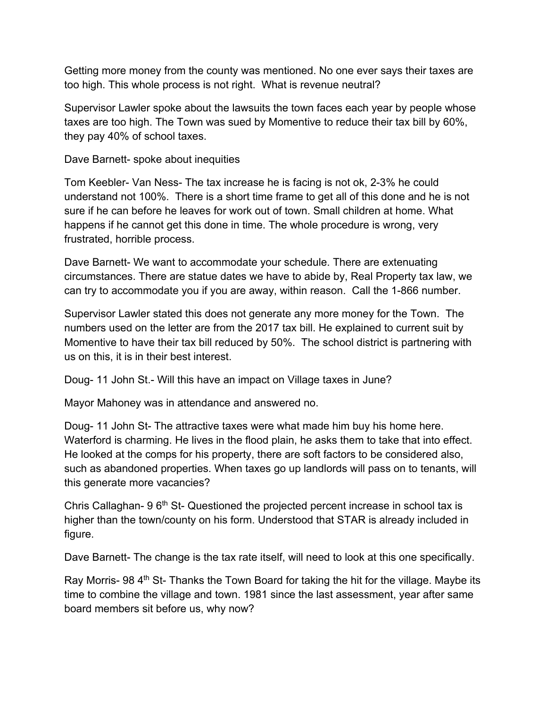Getting more money from the county was mentioned. No one ever says their taxes are too high. This whole process is not right. What is revenue neutral?

Supervisor Lawler spoke about the lawsuits the town faces each year by people whose taxes are too high. The Town was sued by Momentive to reduce their tax bill by 60%, they pay 40% of school taxes.

Dave Barnett- spoke about inequities

Tom Keebler- Van Ness- The tax increase he is facing is not ok, 2-3% he could understand not 100%. There is a short time frame to get all of this done and he is not sure if he can before he leaves for work out of town. Small children at home. What happens if he cannot get this done in time. The whole procedure is wrong, very frustrated, horrible process.

Dave Barnett- We want to accommodate your schedule. There are extenuating circumstances. There are statue dates we have to abide by, Real Property tax law, we can try to accommodate you if you are away, within reason. Call the 1-866 number.

Supervisor Lawler stated this does not generate any more money for the Town. The numbers used on the letter are from the 2017 tax bill. He explained to current suit by Momentive to have their tax bill reduced by 50%. The school district is partnering with us on this, it is in their best interest.

Doug- 11 John St.- Will this have an impact on Village taxes in June?

Mayor Mahoney was in attendance and answered no.

Doug- 11 John St- The attractive taxes were what made him buy his home here. Waterford is charming. He lives in the flood plain, he asks them to take that into effect. He looked at the comps for his property, there are soft factors to be considered also, such as abandoned properties. When taxes go up landlords will pass on to tenants, will this generate more vacancies?

Chris Callaghan- 9  $6<sup>th</sup>$  St- Questioned the projected percent increase in school tax is higher than the town/county on his form. Understood that STAR is already included in figure.

Dave Barnett- The change is the tax rate itself, will need to look at this one specifically.

Ray Morris- 98 4<sup>th</sup> St- Thanks the Town Board for taking the hit for the village. Maybe its time to combine the village and town. 1981 since the last assessment, year after same board members sit before us, why now?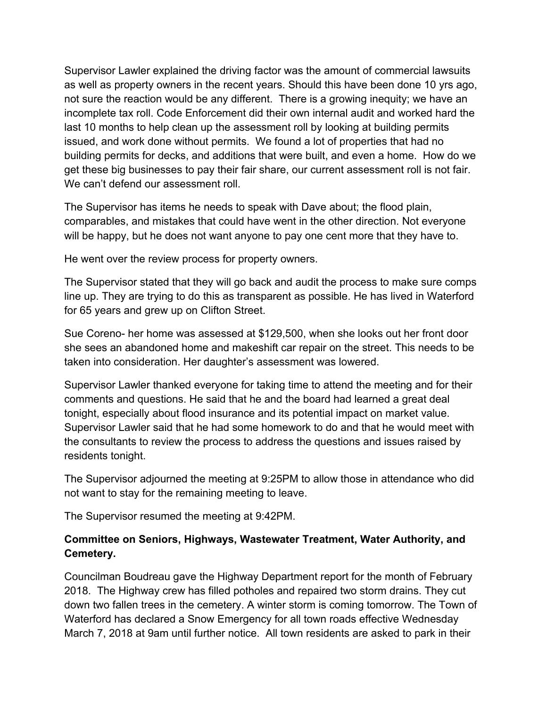Supervisor Lawler explained the driving factor was the amount of commercial lawsuits as well as property owners in the recent years. Should this have been done 10 yrs ago, not sure the reaction would be any different. There is a growing inequity; we have an incomplete tax roll. Code Enforcement did their own internal audit and worked hard the last 10 months to help clean up the assessment roll by looking at building permits issued, and work done without permits. We found a lot of properties that had no building permits for decks, and additions that were built, and even a home. How do we get these big businesses to pay their fair share, our current assessment roll is not fair. We can't defend our assessment roll.

The Supervisor has items he needs to speak with Dave about; the flood plain, comparables, and mistakes that could have went in the other direction. Not everyone will be happy, but he does not want anyone to pay one cent more that they have to.

He went over the review process for property owners.

The Supervisor stated that they will go back and audit the process to make sure comps line up. They are trying to do this as transparent as possible. He has lived in Waterford for 65 years and grew up on Clifton Street.

Sue Coreno- her home was assessed at \$129,500, when she looks out her front door she sees an abandoned home and makeshift car repair on the street. This needs to be taken into consideration. Her daughter's assessment was lowered.

Supervisor Lawler thanked everyone for taking time to attend the meeting and for their comments and questions. He said that he and the board had learned a great deal tonight, especially about flood insurance and its potential impact on market value. Supervisor Lawler said that he had some homework to do and that he would meet with the consultants to review the process to address the questions and issues raised by residents tonight.

The Supervisor adjourned the meeting at 9:25PM to allow those in attendance who did not want to stay for the remaining meeting to leave.

The Supervisor resumed the meeting at 9:42PM.

# **Committee on Seniors, Highways, Wastewater Treatment, Water Authority, and Cemetery.**

Councilman Boudreau gave the Highway Department report for the month of February 2018. The Highway crew has filled potholes and repaired two storm drains. They cut down two fallen trees in the cemetery. A winter storm is coming tomorrow. The Town of Waterford has declared a Snow Emergency for all town roads effective Wednesday March 7, 2018 at 9am until further notice. All town residents are asked to park in their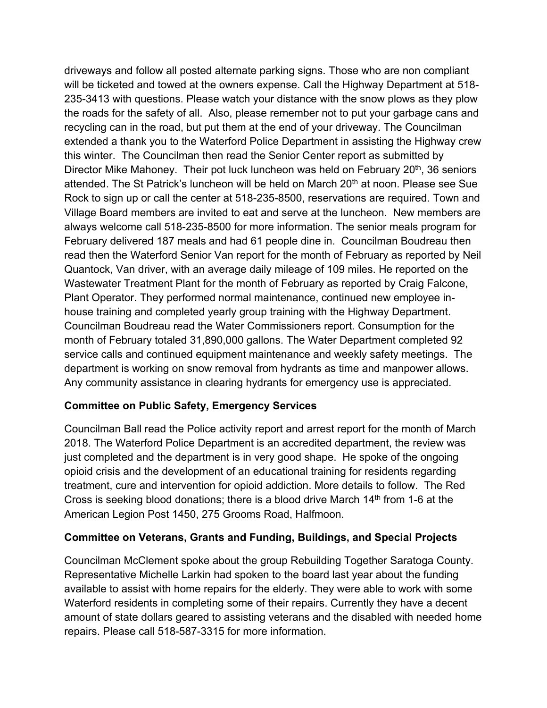driveways and follow all posted alternate parking signs. Those who are non compliant will be ticketed and towed at the owners expense. Call the Highway Department at 518- 235-3413 with questions. Please watch your distance with the snow plows as they plow the roads for the safety of all. Also, please remember not to put your garbage cans and recycling can in the road, but put them at the end of your driveway. The Councilman extended a thank you to the Waterford Police Department in assisting the Highway crew this winter. The Councilman then read the Senior Center report as submitted by Director Mike Mahoney. Their pot luck luncheon was held on February 20<sup>th</sup>, 36 seniors attended. The St Patrick's luncheon will be held on March 20<sup>th</sup> at noon. Please see Sue Rock to sign up or call the center at 518-235-8500, reservations are required. Town and Village Board members are invited to eat and serve at the luncheon. New members are always welcome call 518-235-8500 for more information. The senior meals program for February delivered 187 meals and had 61 people dine in. Councilman Boudreau then read then the Waterford Senior Van report for the month of February as reported by Neil Quantock, Van driver, with an average daily mileage of 109 miles. He reported on the Wastewater Treatment Plant for the month of February as reported by Craig Falcone, Plant Operator. They performed normal maintenance, continued new employee inhouse training and completed yearly group training with the Highway Department. Councilman Boudreau read the Water Commissioners report. Consumption for the month of February totaled 31,890,000 gallons. The Water Department completed 92 service calls and continued equipment maintenance and weekly safety meetings. The department is working on snow removal from hydrants as time and manpower allows. Any community assistance in clearing hydrants for emergency use is appreciated.

# **Committee on Public Safety, Emergency Services**

Councilman Ball read the Police activity report and arrest report for the month of March 2018. The Waterford Police Department is an accredited department, the review was just completed and the department is in very good shape. He spoke of the ongoing opioid crisis and the development of an educational training for residents regarding treatment, cure and intervention for opioid addiction. More details to follow. The Red Cross is seeking blood donations; there is a blood drive March  $14<sup>th</sup>$  from 1-6 at the American Legion Post 1450, 275 Grooms Road, Halfmoon.

# **Committee on Veterans, Grants and Funding, Buildings, and Special Projects**

Councilman McClement spoke about the group Rebuilding Together Saratoga County. Representative Michelle Larkin had spoken to the board last year about the funding available to assist with home repairs for the elderly. They were able to work with some Waterford residents in completing some of their repairs. Currently they have a decent amount of state dollars geared to assisting veterans and the disabled with needed home repairs. Please call 518-587-3315 for more information.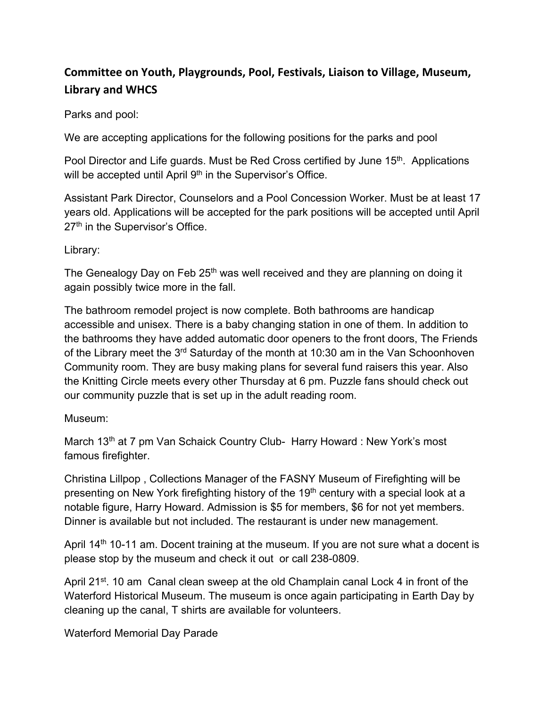# **Committee on Youth, Playgrounds, Pool, Festivals, Liaison to Village, Museum, Library and WHCS**

## Parks and pool:

We are accepting applications for the following positions for the parks and pool

Pool Director and Life guards. Must be Red Cross certified by June 15<sup>th</sup>. Applications will be accepted until April 9<sup>th</sup> in the Supervisor's Office.

Assistant Park Director, Counselors and a Pool Concession Worker. Must be at least 17 years old. Applications will be accepted for the park positions will be accepted until April 27<sup>th</sup> in the Supervisor's Office.

## Library:

The Genealogy Day on Feb 25<sup>th</sup> was well received and they are planning on doing it again possibly twice more in the fall.

The bathroom remodel project is now complete. Both bathrooms are handicap accessible and unisex. There is a baby changing station in one of them. In addition to the bathrooms they have added automatic door openers to the front doors, The Friends of the Library meet the 3<sup>rd</sup> Saturday of the month at 10:30 am in the Van Schoonhoven Community room. They are busy making plans for several fund raisers this year. Also the Knitting Circle meets every other Thursday at 6 pm. Puzzle fans should check out our community puzzle that is set up in the adult reading room.

### Museum:

March 13<sup>th</sup> at 7 pm Van Schaick Country Club- Harry Howard : New York's most famous firefighter.

Christina Lillpop , Collections Manager of the FASNY Museum of Firefighting will be presenting on New York firefighting history of the 19<sup>th</sup> century with a special look at a notable figure, Harry Howard. Admission is \$5 for members, \$6 for not yet members. Dinner is available but not included. The restaurant is under new management.

April 14<sup>th</sup> 10-11 am. Docent training at the museum. If you are not sure what a docent is please stop by the museum and check it out or call 238-0809.

April 21<sup>st</sup>. 10 am Canal clean sweep at the old Champlain canal Lock 4 in front of the Waterford Historical Museum. The museum is once again participating in Earth Day by cleaning up the canal, T shirts are available for volunteers.

# Waterford Memorial Day Parade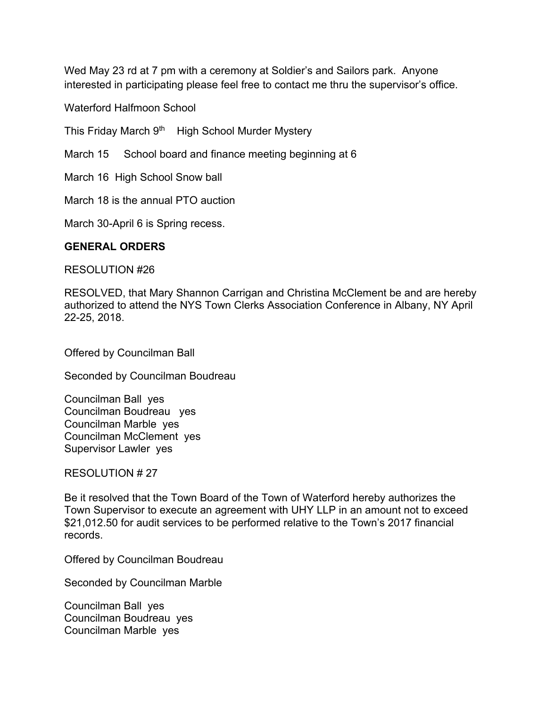Wed May 23 rd at 7 pm with a ceremony at Soldier's and Sailors park. Anyone interested in participating please feel free to contact me thru the supervisor's office.

Waterford Halfmoon School

This Friday March 9<sup>th</sup> High School Murder Mystery

March 15 School board and finance meeting beginning at 6

March 16 High School Snow ball

March 18 is the annual PTO auction

March 30-April 6 is Spring recess.

#### **GENERAL ORDERS**

RESOLUTION #26

RESOLVED, that Mary Shannon Carrigan and Christina McClement be and are hereby authorized to attend the NYS Town Clerks Association Conference in Albany, NY April 22-25, 2018.

Offered by Councilman Ball

Seconded by Councilman Boudreau

Councilman Ball yes Councilman Boudreau yes Councilman Marble yes Councilman McClement yes Supervisor Lawler yes

RESOLUTION # 27

Be it resolved that the Town Board of the Town of Waterford hereby authorizes the Town Supervisor to execute an agreement with UHY LLP in an amount not to exceed \$21,012.50 for audit services to be performed relative to the Town's 2017 financial records.

Offered by Councilman Boudreau

Seconded by Councilman Marble

Councilman Ball yes Councilman Boudreau yes Councilman Marble yes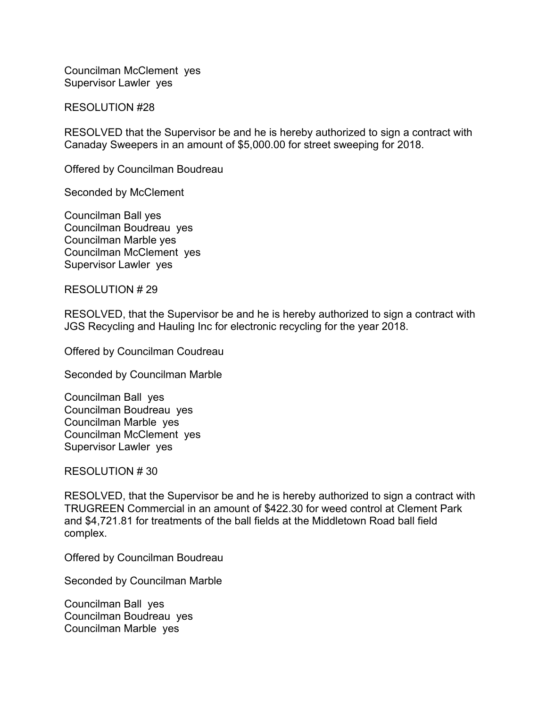Councilman McClement yes Supervisor Lawler yes

RESOLUTION #28

RESOLVED that the Supervisor be and he is hereby authorized to sign a contract with Canaday Sweepers in an amount of \$5,000.00 for street sweeping for 2018.

Offered by Councilman Boudreau

Seconded by McClement

Councilman Ball yes Councilman Boudreau yes Councilman Marble yes Councilman McClement yes Supervisor Lawler yes

RESOLUTION # 29

RESOLVED, that the Supervisor be and he is hereby authorized to sign a contract with JGS Recycling and Hauling Inc for electronic recycling for the year 2018.

Offered by Councilman Coudreau

Seconded by Councilman Marble

Councilman Ball yes Councilman Boudreau yes Councilman Marble yes Councilman McClement yes Supervisor Lawler yes

RESOLUTION # 30

RESOLVED, that the Supervisor be and he is hereby authorized to sign a contract with TRUGREEN Commercial in an amount of \$422.30 for weed control at Clement Park and \$4,721.81 for treatments of the ball fields at the Middletown Road ball field complex.

Offered by Councilman Boudreau

Seconded by Councilman Marble

Councilman Ball yes Councilman Boudreau yes Councilman Marble yes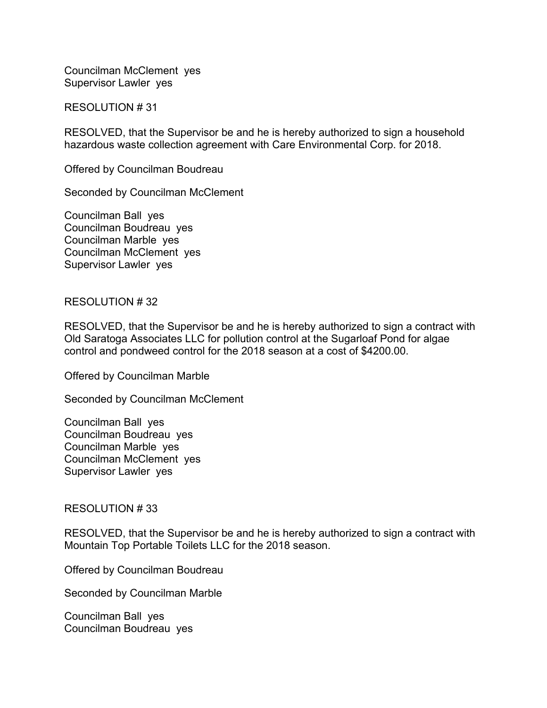Councilman McClement yes Supervisor Lawler yes

RESOLUTION # 31

RESOLVED, that the Supervisor be and he is hereby authorized to sign a household hazardous waste collection agreement with Care Environmental Corp. for 2018.

Offered by Councilman Boudreau

Seconded by Councilman McClement

Councilman Ball yes Councilman Boudreau yes Councilman Marble yes Councilman McClement yes Supervisor Lawler yes

#### RESOLUTION # 32

RESOLVED, that the Supervisor be and he is hereby authorized to sign a contract with Old Saratoga Associates LLC for pollution control at the Sugarloaf Pond for algae control and pondweed control for the 2018 season at a cost of \$4200.00.

Offered by Councilman Marble

Seconded by Councilman McClement

Councilman Ball yes Councilman Boudreau yes Councilman Marble yes Councilman McClement yes Supervisor Lawler yes

#### RESOLUTION # 33

RESOLVED, that the Supervisor be and he is hereby authorized to sign a contract with Mountain Top Portable Toilets LLC for the 2018 season.

Offered by Councilman Boudreau

Seconded by Councilman Marble

Councilman Ball yes Councilman Boudreau yes